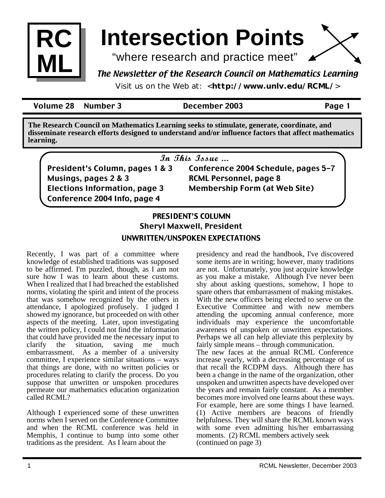

# **Intersection Points**

"where research and practice meet"

## The Newsletter of the Research Council on Mathematics Learning

Visit us on the Web at: <**http://www.unlv.edu/RCML/**>

Volume 28 Number 3 December 2003 Page 1

**The Research Council on Mathematics Learning seeks to stimulate, generate, coordinate, and disseminate research efforts designed to understand and/or influence factors that affect mathematics learning.**

In This Issue ...

President's Column, pages 1 & 3 Musings, pages 2 & 3 Elections Information, page 3 Conference 2004 Info, page 4

Conference 2004 Schedule, pages 5-7 RCML Personnel, page 8 Membership Form (at Web Site)

### **PRESIDENT'S COLUMN** Sheryl Maxwell, President UNWRITTEN/UNSPOKEN EXPECTATIONS

Recently, I was part of a committee where knowledge of established traditions was supposed to be affirmed. I'm puzzled, though, as I am not sure how I was to learn about these customs. When I realized that I had breached the established norms, violating the spirit and intent of the process that was somehow recognized by the others in attendance, I apologized profusely. I judged I showed my ignorance, but proceeded on with other aspects of the meeting. Later, upon investigating the written policy, I could not find the information that could have provided me the necessary input to clarify the situation, saving me much embarrassment. As a member of a university committee, I experience similar situations – ways that things are done, with no written policies or procedures relating to clarify the process. Do you suppose that unwritten or unspoken procedures permeate our mathematics education organization called RCML?

Although I experienced some of these unwritten norms when I served on the Conference Committee and when the RCML conference was held in Memphis, I continue to bump into some other traditions as the president. As I learn about the

presidency and read the handbook, I've discovered some items are in writing; however, many traditions are not. Unfortunately, you just acquire knowledge as you make a mistake. Although I've never been shy about asking questions, somehow, I hope to spare others that embarrassment of making mistakes. With the new officers being elected to serve on the Executive Committee and with new members attending the upcoming annual conference, more individuals may experience the uncomfortable awareness of unspoken or unwritten expectations. Perhaps we all can help alleviate this perplexity by fairly simple means – through communication. The new faces at the annual RCML Conference increase yearly, with a decreasing percentage of us that recall the RCDPM days. Although there has been a change in the name of the organization, other unspoken and unwritten aspects have developed over the years and remain fairly constant. As a member becomes more involved one learns about these ways. For example, here are some things I have learned. (1) Active members are beacons of friendly helpfulness. They will share the RCML known ways with some even admitting his/her embarrassing

moments. (2) RCML members actively seek

(continued on page 3)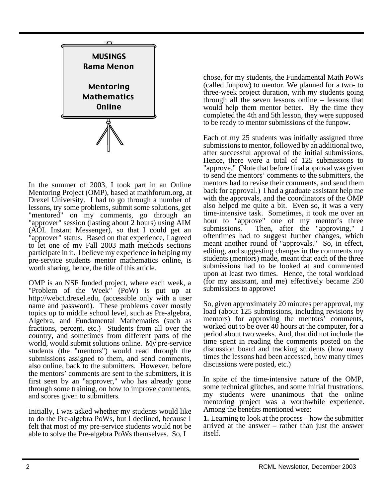

In the summer of 2003, I took part in an Online Mentoring Project (OMP), based at mathforum.org, at Drexel University. I had to go through a number of lessons, try some problems, submit some solutions, get "mentored" on my comments, go through an "approver" session (lasting about 2 hours) using AIM (AOL Instant Messenger), so that I could get an "approver" status. Based on that experience, I agreed to let one of my Fall 2003 math methods sections participate in it. I believe my experience in helping my pre-service students mentor mathematics online, is worth sharing, hence, the title of this article.

OMP is an NSF funded project, where each week, a "Problem of the Week" (PoW) is put up at http://webct.drexel.edu, (accessible only with a user name and password). These problems cover mostly topics up to middle school level, such as Pre-algebra, Algebra, and Fundamental Mathematics (such as fractions, percent, etc.) Students from all over the country, and sometimes from different parts of the world, would submit solutions online. My pre-service students (the "mentors") would read through the submissions assigned to them, and send comments, also online, back to the submitters. However, before the mentors' comments are sent to the submitters, it is first seen by an "approver," who has already gone through some training, on how to improve comments, and scores given to submitters.

Initially, I was asked whether my students would like to do the Pre-algebra PoWs, but I declined, because I felt that most of my pre-service students would not be able to solve the Pre-algebra PoWs themselves. So, I

chose, for my students, the Fundamental Math PoWs (called funpow) to mentor. We planned for a two- to three-week project duration, with my students going through all the seven lessons online – lessons that would help them mentor better. By the time they completed the 4th and 5th lesson, they were supposed to be ready to mentor submissions of the funpow.

Each of my 25 students was initially assigned three submissions to mentor, followed by an additional two, after successful approval of the initial submissions. Hence, there were a total of 125 submissions to "approve." (Note that before final approval was given to send the mentors' comments to the submitters, the mentors had to revise their comments, and send them back for approval.) I had a graduate assistant help me with the approvals, and the coordinators of the OMP also helped me quite a bit. Even so, it was a very time-intensive task. Sometimes, it took me over an hour to "approve" one of my mentor's three submissions. Then, after the "approving," I oftentimes had to suggest further changes, which meant another round of "approvals." So, in effect, editing, and suggesting changes in the comments my students (mentors) made, meant that each of the three submissions had to be looked at and commented upon at least two times. Hence, the total workload (for my assistant, and me) effectively became 250 submissions to approve!

So, given approximately 20 minutes per approval, my load (about 125 submissions, including revisions by mentors) for approving the mentors' comments, worked out to be over 40 hours at the computer, for a period about two weeks. And, that did not include the time spent in reading the comments posted on the discussion board and tracking students (how many times the lessons had been accessed, how many times discussions were posted, etc.)

In spite of the time-intensive nature of the OMP, some technical glitches, and some initial frustrations, my students were unanimous that the online mentoring project was a worthwhile experience. Among the benefits mentioned were:

**1.** Learning to look at the process – how the submitter arrived at the answer – rather than just the answer itself.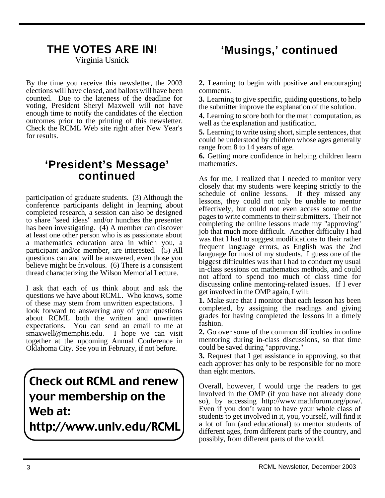Virginia Usnick

By the time you receive this newsletter, the 2003 elections will have closed, and ballots will have been counted. Due to the lateness of the deadline for voting, President Sheryl Maxwell will not have enough time to notify the candidates of the election outcomes prior to the printing of this newsletter. Check the RCML Web site right after New Year's for results.

## **'President's Message' continued**

participation of graduate students. (3) Although the conference participants delight in learning about completed research, a session can also be designed to share "seed ideas" and/or hunches the presenter has been investigating. (4) A member can discover at least one other person who is as passionate about a mathematics education area in which you, a participant and/or member, are interested. (5) All questions can and will be answered, even those you believe might be frivolous. (6) There is a consistent thread characterizing the Wilson Memorial Lecture.

I ask that each of us think about and ask the questions we have about RCML. Who knows, some of these may stem from unwritten expectations. I look forward to answering any of your questions about RCML both the written and unwritten expectations. You can send an email to me at smaxwell@memphis.edu. I hope we can visit together at the upcoming Annual Conference in Oklahoma City. See you in February, if not before.

# Check out RCML and renew your membership on the Web at:

http://www.unlv.edu/RCML

## **THE VOTES ARE IN! 'Musings,' continued**

**2.** Learning to begin with positive and encouraging comments.

**3.** Learning to give specific, guiding questions, to help the submitter improve the explanation of the solution.

**4.** Learning to score both for the math computation, as well as the explanation and justification.

**5.** Learning to write using short, simple sentences, that could be understood by children whose ages generally range from 8 to 14 years of age.

**6.** Getting more confidence in helping children learn mathematics.

As for me, I realized that I needed to monitor very closely that my students were keeping strictly to the schedule of online lessons. If they missed any lessons, they could not only be unable to mentor effectively, but could not even access some of the pages to write comments to their submitters. Their not completing the online lessons made my "approving" job that much more difficult. Another difficulty I had was that I had to suggest modifications to their rather frequent language errors, as English was the 2nd language for most of my students. I guess one of the biggest difficulties was that I had to conduct my usual in-class sessions on mathematics methods, and could not afford to spend too much of class time for discussing online mentoring-related issues. If I ever get involved in the OMP again, I will:

**1.** Make sure that I monitor that each lesson has been completed, by assigning the readings and giving grades for having completed the lessons in a timely fashion.

**2.** Go over some of the common difficulties in online mentoring during in-class discussions, so that time could be saved during "approving."

**3.** Request that I get assistance in approving, so that each approver has only to be responsible for no more than eight mentors.

Overall, however, I would urge the readers to get involved in the OMP (if you have not already done so), by accessing http://www.mathforum.org/pow/. Even if you don't want to have your whole class of students to get involved in it, you, yourself, will find it a lot of fun (and educational) to mentor students of different ages, from different parts of the country, and possibly, from different parts of the world.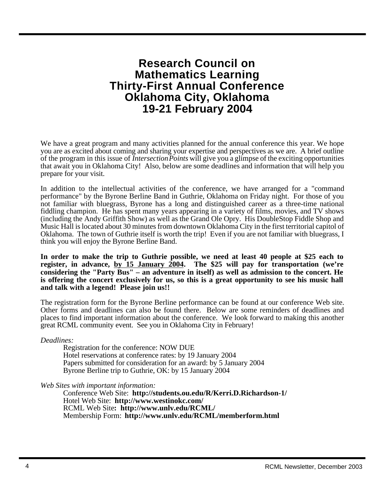## **Research Council on Mathematics Learning Thirty-First Annual Conference Oklahoma City, Oklahoma 19-21 February 2004**

We have a great program and many activities planned for the annual conference this year. We hope you are as excited about coming and sharing your expertise and perspectives as we are. A brief outline of the program in this issue of *Intersection Points* will give you a glimpse of the exciting opportunities that await you in Oklahoma City! Also, below are some deadlines and information that will help you prepare for your visit.

In addition to the intellectual activities of the conference, we have arranged for a "command performance" by the Byrone Berline Band in Guthrie, Oklahoma on Friday night. For those of you not familiar with bluegrass, Byrone has a long and distinguished career as a three-time national fiddling champion. He has spent many years appearing in a variety of films, movies, and TV shows (including the Andy Griffith Show) as well as the Grand Ole Opry. His DoubleStop Fiddle Shop and Music Hall is located about 30 minutes from downtown Oklahoma City in the first territorial capitol of Oklahoma. The town of Guthrie itself is worth the trip! Even if you are not familiar with bluegrass, I think you will enjoy the Byrone Berline Band.

**In order to make the trip to Guthrie possible, we need at least 40 people at \$25 each to register, in advance, by 15 January 2004. The \$25 will pay for transportation (we're considering the "Party Bus" – an adventure in itself) as well as admission to the concert. He is offering the concert exclusively for us, so this is a great opportunity to see his music hall and talk with a legend! Please join us!!** 

The registration form for the Byrone Berline performance can be found at our conference Web site. Other forms and deadlines can also be found there. Below are some reminders of deadlines and places to find important information about the conference. We look forward to making this another great RCML community event. See you in Oklahoma City in February!

*Deadlines:*

Registration for the conference: NOW DUE Hotel reservations at conference rates: by 19 January 2004 Papers submitted for consideration for an award: by 5 January 2004 Byrone Berline trip to Guthrie, OK: by 15 January 2004

*Web Sites with important information:*

Conference Web Site: **http://students.ou.edu/R/Kerri.D.Richardson-1/** Hotel Web Site: **http://www.westinokc.com/**  RCML Web Site**: http://www.unlv.edu/RCML/** Membership Form: **http://www.unlv.edu/RCML/memberform.html**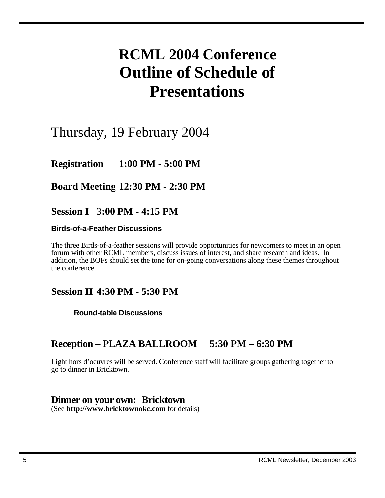# **RCML 2004 Conference Outline of Schedule of Presentations**

## Thursday, 19 February 2004

**Registration 1:00 PM - 5:00 PM**

**Board Meeting 12:30 PM - 2:30 PM**

**Session I** 3**:00 PM - 4:15 PM**

### **Birds-of-a-Feather Discussions**

The three Birds-of-a-feather sessions will provide opportunities for newcomers to meet in an open forum with other RCML members, discuss issues of interest, and share research and ideas. In addition, the BOFs should set the tone for on-going conversations along these themes throughout the conference.

## **Session II 4:30 PM - 5:30 PM**

**Round-table Discussions**

## **Reception – PLAZA BALLROOM 5:30 PM – 6:30 PM**

Light hors d'oeuvres will be served. Conference staff will facilitate groups gathering together to go to dinner in Bricktown.

### **Dinner on your own: Bricktown**

(See **http://www.bricktownokc.com** for details)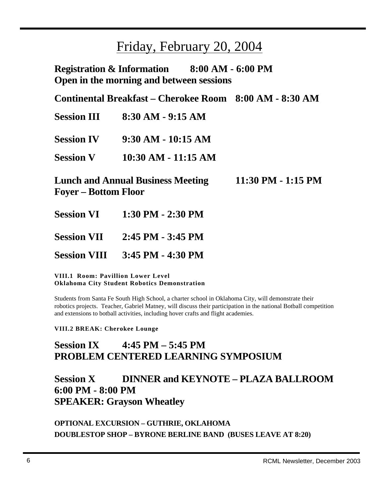## Friday, February 20, 2004

**Registration & Information 8:00 AM - 6:00 PM Open in the morning and between sessions**

**Continental Breakfast – Cherokee Room 8:00 AM - 8:30 AM**

| <b>Session III</b> | $8:30$ AM - 9:15 AM |
|--------------------|---------------------|
|                    |                     |

**Session IV 9:30 AM - 10:15 AM**

**Session V 10:30 AM - 11:15 AM**

**Lunch and Annual Business Meeting 11:30 PM - 1:15 PM Foyer – Bottom Floor** 

- **Session VI 1:30 PM 2:30 PM**
- **Session VII 2:45 PM 3:45 PM**

**Session VIII 3:45 PM - 4:30 PM**

**VIII.1 Room: Pavillion Lower Level Oklahoma City Student Robotics Demonstration**

Students from Santa Fe South High School, a charter school in Oklahoma City, will demonstrate their robotics projects. Teacher, Gabriel Matney, will discuss their participation in the national Botball competition and extensions to botball activities, including hover crafts and flight academies.

**VIII.2 BREAK: Cherokee Lounge** 

## **Session IX 4:45 PM – 5:45 PM PROBLEM CENTERED LEARNING SYMPOSIUM**

## **Session X DINNER and KEYNOTE – PLAZA BALLROOM 6:00 PM - 8:00 PM SPEAKER: Grayson Wheatley**

**OPTIONAL EXCURSION – GUTHRIE, OKLAHOMA DOUBLESTOP SHOP – BYRONE BERLINE BAND (BUSES LEAVE AT 8:20)**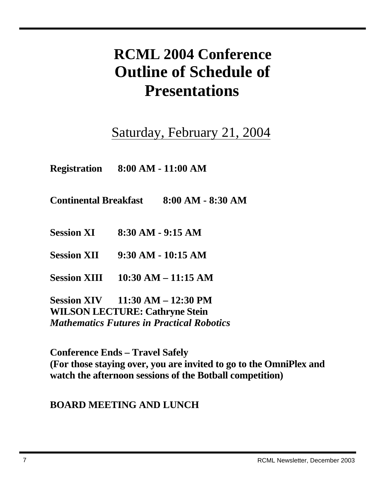# **RCML 2004 Conference Outline of Schedule of Presentations**

# Saturday, February 21, 2004

**Registration 8:00 AM - 11:00 AM**

**Continental Breakfast 8:00 AM - 8:30 AM**

**Session XI 8:30 AM - 9:15 AM**

**Session XII 9:30 AM - 10:15 AM**

**Session XIII 10:30 AM – 11:15 AM**

**Session XIV 11:30 AM – 12:30 PM WILSON LECTURE: Cathryne Stein** *Mathematics Futures in Practical Robotics*

**Conference Ends – Travel Safely (For those staying over, you are invited to go to the OmniPlex and watch the afternoon sessions of the Botball competition)**

## **BOARD MEETING AND LUNCH**